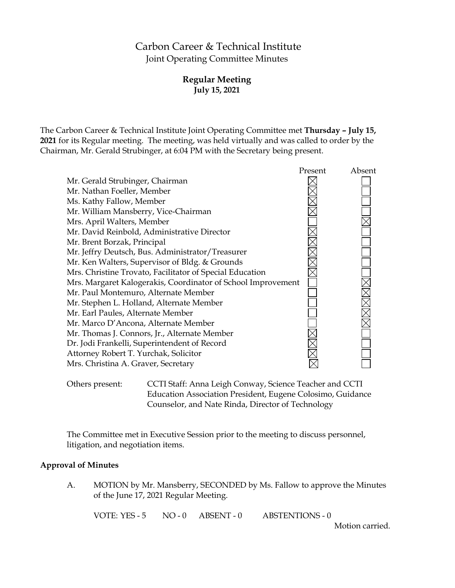# Carbon Career & Technical Institute Joint Operating Committee Minutes

# **Regular Meeting July 15, 2021**

The Carbon Career & Technical Institute Joint Operating Committee met **Thursday – July 15, 2021** for its Regular meeting. The meeting, was held virtually and was called to order by the Chairman, Mr. Gerald Strubinger, at 6:04 PM with the Secretary being present.

|                                                              | Present | Absent |
|--------------------------------------------------------------|---------|--------|
| Mr. Gerald Strubinger, Chairman                              |         |        |
| Mr. Nathan Foeller, Member                                   |         |        |
| Ms. Kathy Fallow, Member                                     |         |        |
| Mr. William Mansberry, Vice-Chairman                         |         |        |
| Mrs. April Walters, Member                                   |         |        |
| Mr. David Reinbold, Administrative Director                  |         |        |
| Mr. Brent Borzak, Principal                                  |         |        |
| Mr. Jeffry Deutsch, Bus. Administrator/Treasurer             |         |        |
| Mr. Ken Walters, Supervisor of Bldg. & Grounds               |         |        |
| Mrs. Christine Trovato, Facilitator of Special Education     |         |        |
| Mrs. Margaret Kalogerakis, Coordinator of School Improvement |         |        |
| Mr. Paul Montemuro, Alternate Member                         |         |        |
| Mr. Stephen L. Holland, Alternate Member                     |         |        |
| Mr. Earl Paules, Alternate Member                            |         |        |
| Mr. Marco D'Ancona, Alternate Member                         |         |        |
| Mr. Thomas J. Connors, Jr., Alternate Member                 |         |        |
| Dr. Jodi Frankelli, Superintendent of Record                 |         |        |
| Attorney Robert T. Yurchak, Solicitor                        |         |        |
| Mrs. Christina A. Graver, Secretary                          |         |        |
|                                                              |         |        |

Others present: CCTI Staff: Anna Leigh Conway, Science Teacher and CCTI Education Association President, Eugene Colosimo, Guidance Counselor, and Nate Rinda, Director of Technology

The Committee met in Executive Session prior to the meeting to discuss personnel, litigation, and negotiation items.

#### **Approval of Minutes**

A. MOTION by Mr. Mansberry, SECONDED by Ms. Fallow to approve the Minutes of the June 17, 2021 Regular Meeting.

VOTE: YES - 5 NO - 0 ABSENT - 0 ABSTENTIONS - 0

Motion carried.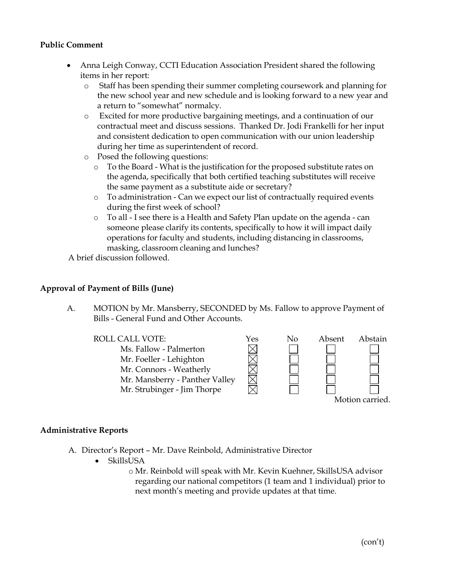# **Public Comment**

- Anna Leigh Conway, CCTI Education Association President shared the following items in her report:
	- o Staff has been spending their summer completing coursework and planning for the new school year and new schedule and is looking forward to a new year and a return to "somewhat" normalcy.
	- o Excited for more productive bargaining meetings, and a continuation of our contractual meet and discuss sessions. Thanked Dr. Jodi Frankelli for her input and consistent dedication to open communication with our union leadership during her time as superintendent of record.
	- o Posed the following questions:
		- o To the Board What is the justification for the proposed substitute rates on the agenda, specifically that both certified teaching substitutes will receive the same payment as a substitute aide or secretary?
		- o To administration Can we expect our list of contractually required events during the first week of school?
		- o To all I see there is a Health and Safety Plan update on the agenda can someone please clarify its contents, specifically to how it will impact daily operations for faculty and students, including distancing in classrooms, masking, classroom cleaning and lunches?

A brief discussion followed.

### **Approval of Payment of Bills (June)**

A. MOTION by Mr. Mansberry, SECONDED by Ms. Fallow to approve Payment of Bills - General Fund and Other Accounts.



#### **Administrative Reports**

- A. Director's Report Mr. Dave Reinbold, Administrative Director
	- SkillsUSA
		- o Mr. Reinbold will speak with Mr. Kevin Kuehner, SkillsUSA advisor regarding our national competitors (1 team and 1 individual) prior to next month's meeting and provide updates at that time.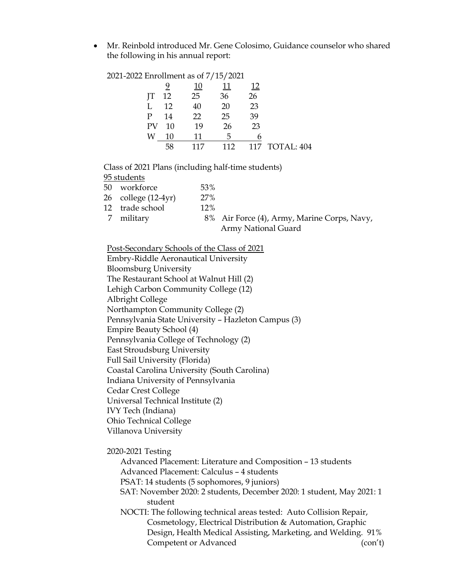• Mr. Reinbold introduced Mr. Gene Colosimo, Guidance counselor who shared the following in his annual report:

| 2021-2022 Enrollment as of 7/15/2021 |    |     |            |     |            |
|--------------------------------------|----|-----|------------|-----|------------|
|                                      |    | 10  | <u> 11</u> |     |            |
| IТ                                   | 12 | 25  | 36         | 26  |            |
|                                      | 12 | 40  | 20         | 23  |            |
| P                                    | 14 | 22  | 25         | 39  |            |
| PV                                   | 10 | 19  | 26         | 23  |            |
| W                                    | 10 | 11  | 5          | 6   |            |
|                                      | 58 | 117 | 112        | 117 | TOTAL: 404 |
|                                      |    |     |            |     |            |

Class of 2021 Plans (including half-time students)

95 students

| 50 | workforce<br>$26$ college $(12-4yr)$<br>12 trade school | 53%<br>27%<br>$12\%$ |                                                                    |
|----|---------------------------------------------------------|----------------------|--------------------------------------------------------------------|
|    |                                                         |                      |                                                                    |
|    |                                                         |                      |                                                                    |
| 7  | military                                                |                      | 8% Air Force (4), Army, Marine Corps, Navy,<br>Army National Guard |
|    |                                                         |                      |                                                                    |

Post-Secondary Schools of the Class of 2021

Embry-Riddle Aeronautical University Bloomsburg University The Restaurant School at Walnut Hill (2) Lehigh Carbon Community College (12) Albright College Northampton Community College (2) Pennsylvania State University – Hazleton Campus (3) Empire Beauty School (4) Pennsylvania College of Technology (2) East Stroudsburg University Full Sail University (Florida) Coastal Carolina University (South Carolina) Indiana University of Pennsylvania Cedar Crest College Universal Technical Institute (2) IVY Tech (Indiana) Ohio Technical College Villanova University

2020-2021 Testing

Advanced Placement: Literature and Composition – 13 students Advanced Placement: Calculus – 4 students PSAT: 14 students (5 sophomores, 9 juniors) SAT: November 2020: 2 students, December 2020: 1 student, May 2021: 1 student NOCTI: The following technical areas tested: Auto Collision Repair, Cosmetology, Electrical Distribution & Automation, Graphic Design, Health Medical Assisting, Marketing, and Welding. 91% Competent or Advanced (con't)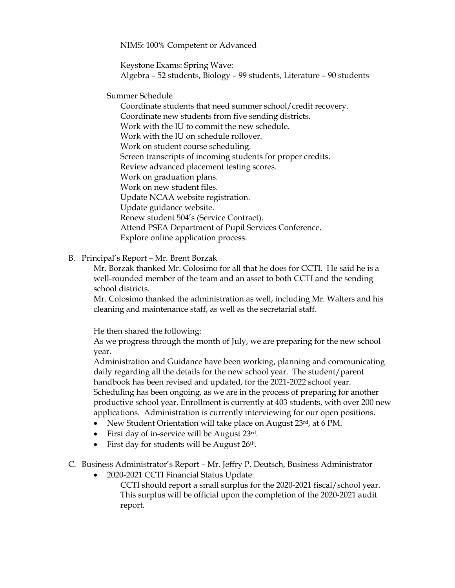NIMS: 100% Competent or Advanced

Keystone Exams: Spring Wave: Algebra – 52 students, Biology – 99 students, Literature – 90 students

Summer Schedule

Coordinate students that need summer school/credit recovery. Coordinate new students from five sending districts. Work with the IU to commit the new schedule. Work with the IU on schedule rollover. Work on student course scheduling. Screen transcripts of incoming students for proper credits. Review advanced placement testing scores. Work on graduation plans. Work on new student files. Update NCAA website registration. Update guidance website. Renew student 504's (Service Contract). Attend PSEA Department of Pupil Services Conference. Explore online application process.

B. Principal's Report – Mr. Brent Borzak

Mr. Borzak thanked Mr. Colosimo for all that he does for CCTI. He said he is a well-rounded member of the team and an asset to both CCTI and the sending school districts.

Mr. Colosimo thanked the administration as well, including Mr. Walters and his cleaning and maintenance staff, as well as the secretarial staff.

He then shared the following:

As we progress through the month of July, we are preparing for the new school year.

Administration and Guidance have been working, planning and communicating daily regarding all the details for the new school year. The student/parent handbook has been revised and updated, for the 2021-2022 school year. Scheduling has been ongoing, as we are in the process of preparing for another productive school year. Enrollment is currently at 403 students, with over 200 new applications. Administration is currently interviewing for our open positions.

- New Student Orientation will take place on August 23rd, at 6 PM.
- First day of in-service will be August 23rd.
- First day for students will be August  $26<sup>th</sup>$ .
- C. Business Administrator's Report Mr. Jeffry P. Deutsch, Business Administrator
	- 2020-2021 CCTI Financial Status Update:

 CCTI should report a small surplus for the 2020-2021 fiscal/school year. This surplus will be official upon the completion of the 2020-2021 audit report.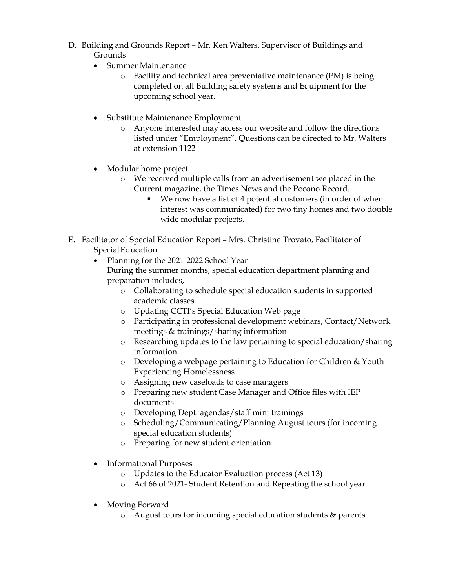- D. Building and Grounds Report Mr. Ken Walters, Supervisor of Buildings and Grounds
	- Summer Maintenance
		- o Facility and technical area preventative maintenance (PM) is being completed on all Building safety systems and Equipment for the upcoming school year.
	- Substitute Maintenance Employment
		- o Anyone interested may access our website and follow the directions listed under "Employment". Questions can be directed to Mr. Walters at extension 1122
	- Modular home project
		- o We received multiple calls from an advertisement we placed in the Current magazine, the Times News and the Pocono Record.
			- We now have a list of 4 potential customers (in order of when interest was communicated) for two tiny homes and two double wide modular projects.
- E. Facilitator of Special Education Report Mrs. Christine Trovato, Facilitator of SpecialEducation
	- Planning for the 2021-2022 School Year During the summer months, special education department planning and preparation includes,
		- o Collaborating to schedule special education students in supported academic classes
		- o Updating CCTI's Special Education Web page
		- o Participating in professional development webinars, Contact/Network meetings & trainings/sharing information
		- o Researching updates to the law pertaining to special education/sharing information
		- o Developing a webpage pertaining to Education for Children & Youth Experiencing Homelessness
		- o Assigning new caseloads to case managers
		- o Preparing new student Case Manager and Office files with IEP documents
		- o Developing Dept. agendas/staff mini trainings
		- o Scheduling/Communicating/Planning August tours (for incoming special education students)
		- o Preparing for new student orientation
	- Informational Purposes
		- o Updates to the Educator Evaluation process (Act 13)
		- o Act 66 of 2021- Student Retention and Repeating the school year
	- Moving Forward
		- o August tours for incoming special education students & parents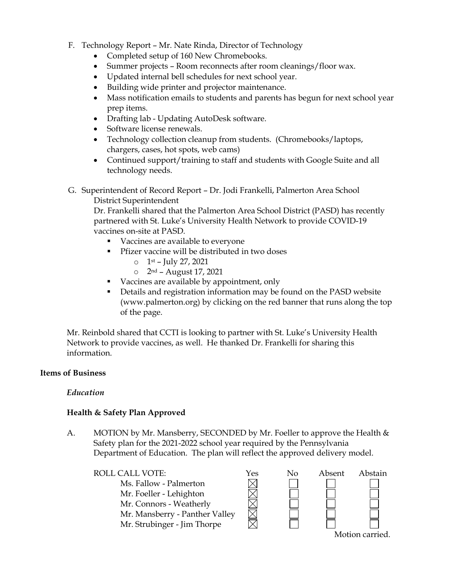- F. Technology Report Mr. Nate Rinda, Director of Technology
	- Completed setup of 160 New Chromebooks.
	- Summer projects Room reconnects after room cleanings/floor wax.
	- Updated internal bell schedules for next school year.
	- Building wide printer and projector maintenance.
	- Mass notification emails to students and parents has begun for next school year prep items.
	- Drafting lab Updating AutoDesk software.
	- Software license renewals.
	- Technology collection cleanup from students. (Chromebooks/laptops, chargers, cases, hot spots, web cams)
	- Continued support/training to staff and students with Google Suite and all technology needs.
- G. Superintendent of Record Report Dr. Jodi Frankelli, Palmerton Area School District Superintendent

Dr. Frankelli shared that the Palmerton Area School District (PASD) has recently partnered with St. Luke's University Health Network to provide COVID-19 vaccines on-site at PASD.

- Vaccines are available to everyone
- **Pfizer vaccine will be distributed in two doses** 
	- $\circ$  1st July 27, 2021
	- o 2nd August 17, 2021
- vaccines are available by appointment, only
- Details and registration information may be found on the PASD website (www.palmerton.org) by clicking on the red banner that runs along the top of the page.

Mr. Reinbold shared that CCTI is looking to partner with St. Luke's University Health Network to provide vaccines, as well. He thanked Dr. Frankelli for sharing this information.

# **Items of Business**

# *Education*

# **Health & Safety Plan Approved**

A. MOTION by Mr. Mansberry, SECONDED by Mr. Foeller to approve the Health & Safety plan for the 2021-2022 school year required by the Pennsylvania Department of Education. The plan will reflect the approved delivery model.

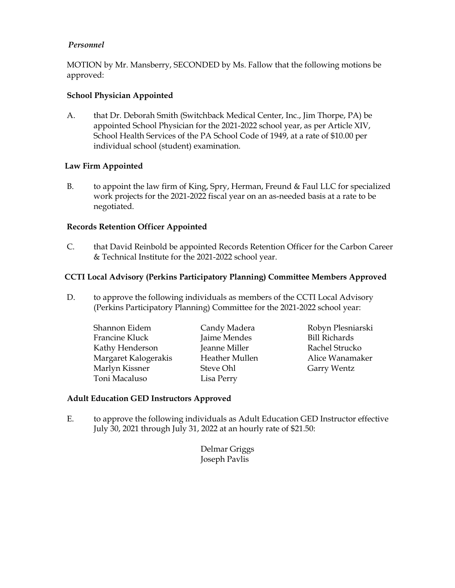# *Personnel*

MOTION by Mr. Mansberry, SECONDED by Ms. Fallow that the following motions be approved:

# **School Physician Appointed**

A. that Dr. Deborah Smith (Switchback Medical Center, Inc., Jim Thorpe, PA) be appointed School Physician for the 2021-2022 school year, as per Article XIV, School Health Services of the PA School Code of 1949, at a rate of \$10.00 per individual school (student) examination.

# **Law Firm Appointed**

B. to appoint the law firm of King, Spry, Herman, Freund & Faul LLC for specialized work projects for the 2021-2022 fiscal year on an as-needed basis at a rate to be negotiated.

# **Records Retention Officer Appointed**

C. that David Reinbold be appointed Records Retention Officer for the Carbon Career & Technical Institute for the 2021-2022 school year.

# **CCTI Local Advisory (Perkins Participatory Planning) Committee Members Approved**

- D. to approve the following individuals as members of the CCTI Local Advisory (Perkins Participatory Planning) Committee for the 2021-2022 school year:
	- Shannon Eidem Candy Madera Robyn Plesniarski Francine Kluck Jaime Mendes Bill Richards Kathy Henderson Jeanne Miller Rachel Strucko Margaret Kalogerakis Heather Mullen Alice Wanamaker Marlyn Kissner Steve Ohl Garry Wentz Toni Macaluso Lisa Perry

#### **Adult Education GED Instructors Approved**

E. to approve the following individuals as Adult Education GED Instructor effective July 30, 2021 through July 31, 2022 at an hourly rate of \$21.50:

> Delmar Griggs Joseph Pavlis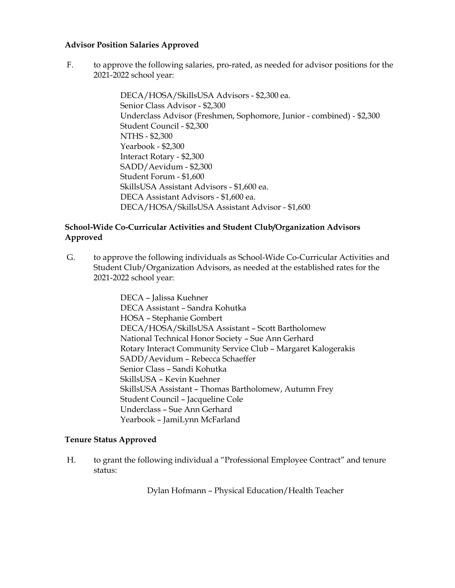### **Advisor Position Salaries Approved**

F. to approve the following salaries, pro-rated, as needed for advisor positions for the 2021-2022 school year:

> DECA/HOSA/SkillsUSA Advisors - \$2,300 ea. Senior Class Advisor - \$2,300 Underclass Advisor (Freshmen, Sophomore, Junior - combined) - \$2,300 Student Council - \$2,300 NTHS - \$2,300 Yearbook - \$2,300 Interact Rotary - \$2,300 SADD/Aevidum - \$2,300 Student Forum - \$1,600 SkillsUSA Assistant Advisors - \$1,600 ea. DECA Assistant Advisors - \$1,600 ea. DECA/HOSA/SkillsUSA Assistant Advisor - \$1,600

# **School-Wide Co-Curricular Activities and Student Club/Organization Advisors Approved**

G. to approve the following individuals as School-Wide Co-Curricular Activities and Student Club/Organization Advisors, as needed at the established rates for the 2021-2022 school year:

> DECA – Jalissa Kuehner DECA Assistant – Sandra Kohutka HOSA – Stephanie Gombert DECA/HOSA/SkillsUSA Assistant – Scott Bartholomew National Technical Honor Society – Sue Ann Gerhard Rotary Interact Community Service Club – Margaret Kalogerakis SADD/Aevidum – Rebecca Schaeffer Senior Class – Sandi Kohutka SkillsUSA – Kevin Kuehner SkillsUSA Assistant – Thomas Bartholomew, Autumn Frey Student Council – Jacqueline Cole Underclass – Sue Ann Gerhard Yearbook – JamiLynn McFarland

# **Tenure Status Approved**

H. to grant the following individual a "Professional Employee Contract" and tenure status:

Dylan Hofmann – Physical Education/Health Teacher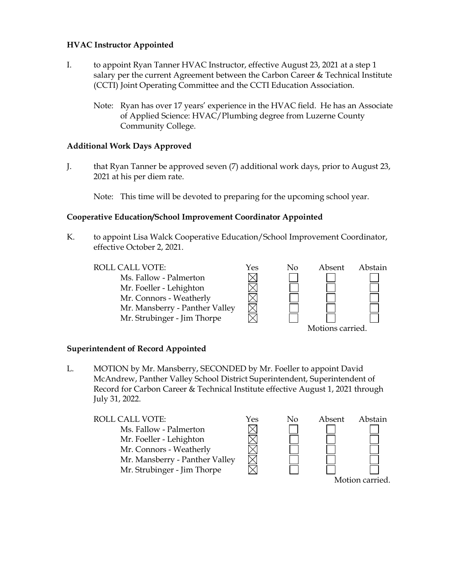### **HVAC Instructor Appointed**

- I. to appoint Ryan Tanner HVAC Instructor, effective August 23, 2021 at a step 1 salary per the current Agreement between the Carbon Career & Technical Institute (CCTI) Joint Operating Committee and the CCTI Education Association.
	- Note: Ryan has over 17 years' experience in the HVAC field. He has an Associate of Applied Science: HVAC/Plumbing degree from Luzerne County Community College.

### **Additional Work Days Approved**

J. that Ryan Tanner be approved seven (7) additional work days, prior to August 23, 2021 at his per diem rate.

Note: This time will be devoted to preparing for the upcoming school year.

### **Cooperative Education/School Improvement Coordinator Appointed**

K. to appoint Lisa Walck Cooperative Education/School Improvement Coordinator, effective October 2, 2021.

ROLL CALL VOTE:  $\gamma$ es No Absent Abstain Ms. Fallow - Palmerton Mr. Foeller - Lehighton Mr. Connors - Weatherly Mr. Mansberry - Panther Valley Mr. Strubinger - Jim Thorpe Motions carried.

#### **Superintendent of Record Appointed**

L. MOTION by Mr. Mansberry, SECONDED by Mr. Foeller to appoint David McAndrew, Panther Valley School District Superintendent, Superintendent of Record for Carbon Career & Technical Institute effective August 1, 2021 through July 31, 2022.

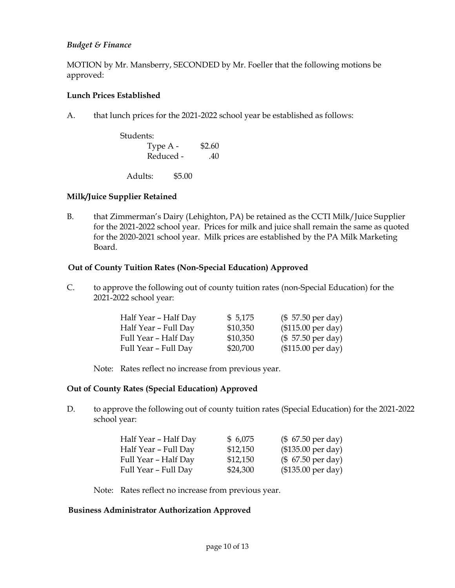# *Budget & Finance*

MOTION by Mr. Mansberry, SECONDED by Mr. Foeller that the following motions be approved:

# **Lunch Prices Established**

A. that lunch prices for the 2021-2022 school year be established as follows:

| Students: |        |
|-----------|--------|
| Type A -  | \$2.60 |
| Reduced - | .40    |
|           |        |

Adults: \$5.00

# **Milk/Juice Supplier Retained**

B. that Zimmerman's Dairy (Lehighton, PA) be retained as the CCTI Milk/Juice Supplier for the 2021-2022 school year. Prices for milk and juice shall remain the same as quoted for the 2020-2021 school year. Milk prices are established by the PA Milk Marketing Board.

# **Out of County Tuition Rates (Non-Special Education) Approved**

C. to approve the following out of county tuition rates (non-Special Education) for the 2021-2022 school year:

| Half Year - Half Day | \$5,175  | $($57.50 \text{ per day})$  |
|----------------------|----------|-----------------------------|
| Half Year - Full Day | \$10,350 | $($115.00 \text{ per day})$ |
| Full Year - Half Day | \$10,350 | $($57.50 \text{ per day})$  |
| Full Year – Full Day | \$20,700 | (\$115.00 per day)          |

Note: Rates reflect no increase from previous year.

# **Out of County Rates (Special Education) Approved**

D. to approve the following out of county tuition rates (Special Education) for the 2021-2022 school year:

| Half Year - Half Day | \$6,075  | $($ 67.50 \text{ per day})$ |
|----------------------|----------|-----------------------------|
| Half Year - Full Day | \$12,150 | $($135.00 \text{ per day})$ |
| Full Year - Half Day | \$12,150 | $($ 67.50 \text{ per day})$ |
| Full Year - Full Day | \$24,300 | $($135.00 \text{ per day})$ |

Note: Rates reflect no increase from previous year.

# **Business Administrator Authorization Approved**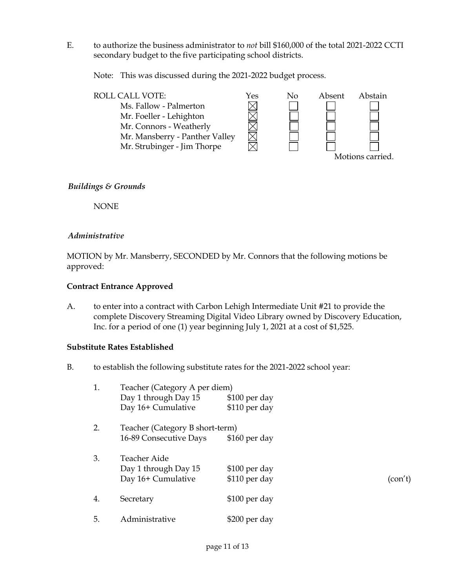E. to authorize the business administrator to *not* bill \$160,000 of the total 2021-2022 CCTI secondary budget to the five participating school districts.

Note: This was discussed during the 2021-2022 budget process.



# *Buildings & Grounds*

NONE

# *Administrative*

MOTION by Mr. Mansberry, SECONDED by Mr. Connors that the following motions be approved:

# **Contract Entrance Approved**

A. to enter into a contract with Carbon Lehigh Intermediate Unit #21 to provide the complete Discovery Streaming Digital Video Library owned by Discovery Education, Inc. for a period of one (1) year beginning July 1, 2021 at a cost of \$1,525.

# **Substitute Rates Established**

B. to establish the following substitute rates for the 2021-2022 school year:

| 1. | Teacher (Category A per diem)   |               |         |
|----|---------------------------------|---------------|---------|
|    | Day 1 through Day 15            | \$100 per day |         |
|    | Day 16+ Cumulative              | \$110 per day |         |
| 2. | Teacher (Category B short-term) |               |         |
|    | 16-89 Consecutive Days          | \$160 per day |         |
| 3. | <b>Teacher Aide</b>             |               |         |
|    | Day 1 through Day 15            | \$100 per day |         |
|    | Day 16+ Cumulative              | \$110 per day | (con't) |
| 4. | Secretary                       | \$100 per day |         |
| 5. | Administrative                  | \$200 per day |         |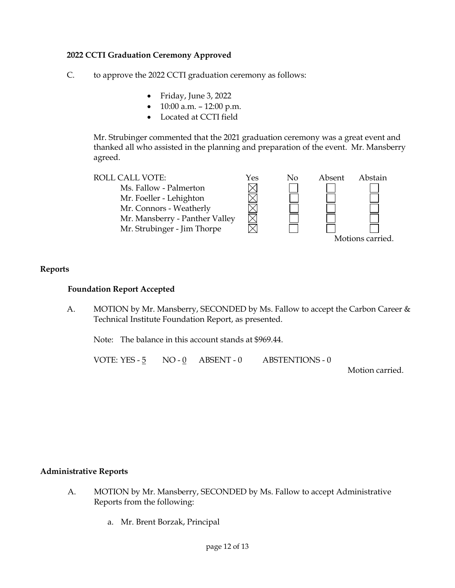# **2022 CCTI Graduation Ceremony Approved**

- C. to approve the 2022 CCTI graduation ceremony as follows:
	- Friday, June 3, 2022
	- $10:00$  a.m.  $-12:00$  p.m.
	- Located at CCTI field

Mr. Strubinger commented that the 2021 graduation ceremony was a great event and thanked all who assisted in the planning and preparation of the event. Mr. Mansberry agreed.



# **Reports**

### **Foundation Report Accepted**

A. MOTION by Mr. Mansberry, SECONDED by Ms. Fallow to accept the Carbon Career & Technical Institute Foundation Report, as presented.

Note: The balance in this account stands at \$969.44.

VOTE: YES - 5 NO - 0 ABSENT - 0 ABSTENTIONS - 0

Motion carried.

# **Administrative Reports**

- A. MOTION by Mr. Mansberry, SECONDED by Ms. Fallow to accept Administrative Reports from the following:
	- a. Mr. Brent Borzak, Principal